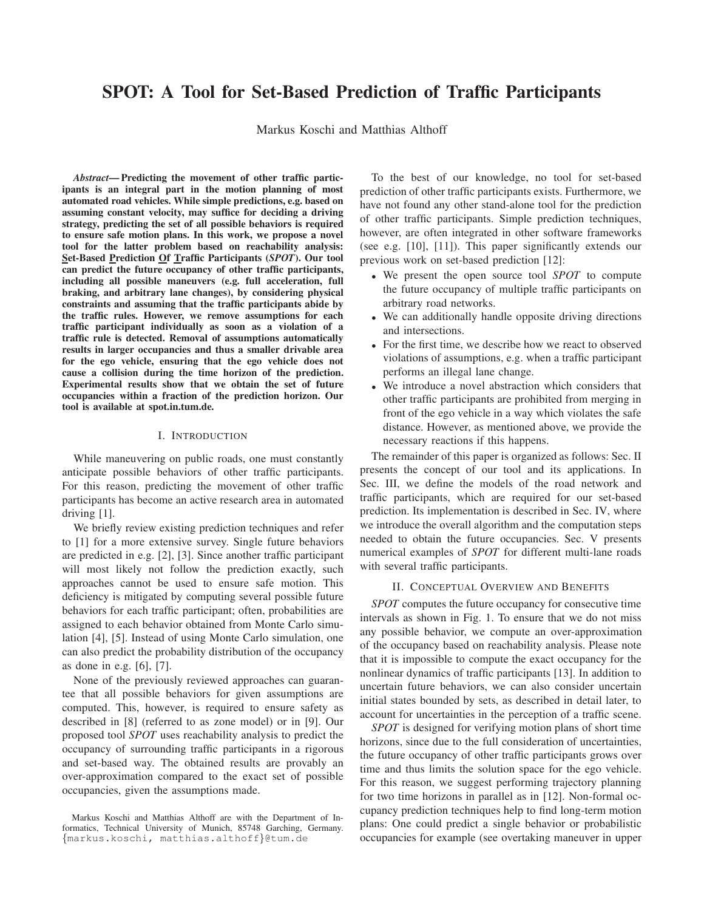# **SPOT: A Tool for Set-Based Prediction of Traffic Participants**

Markus Koschi and Matthias Althoff

Abstract-Predicting the movement of other traffic participants is an integral part in the motion planning of most automated road vehicles. While simple predictions, e.g. based on assuming constant velocity, may suffice for deciding a driving strategy, predicting the set of all possible behaviors is required to ensure safe motion plans. In this work, we propose a novel tool for the latter problem based on reachability analysis: Set-Based Prediction Of Traffic Participants (SPOT). Our tool can predict the future occupancy of other traffic participants, including all possible maneuvers (e.g. full acceleration, full braking, and arbitrary lane changes), by considering physical constraints and assuming that the traffic participants abide by the traffic rules. However, we remove assumptions for each traffic participant individually as soon as a violation of a traffic rule is detected. Removal of assumptions automatically results in larger occupancies and thus a smaller drivable area for the ego vehicle, ensuring that the ego vehicle does not cause a collision during the time horizon of the prediction. Experimental results show that we obtain the set of future occupancies within a fraction of the prediction horizon. Our tool is available at spot.in.tum.de.

# I. INTRODUCTION

While maneuvering on public roads, one must constantly anticipate possible behaviors of other traffic participants. For this reason, predicting the movement of other traffic participants has become an active research area in automated driving  $[1]$ .

We briefly review existing prediction techniques and refer to [1] for a more extensive survey. Single future behaviors are predicted in e.g. [2], [3]. Since another traffic participant will most likely not follow the prediction exactly, such approaches cannot be used to ensure safe motion. This deficiency is mitigated by computing several possible future behaviors for each traffic participant; often, probabilities are assigned to each behavior obtained from Monte Carlo simulation [4], [5]. Instead of using Monte Carlo simulation, one can also predict the probability distribution of the occupancy as done in e.g. [6], [7].

None of the previously reviewed approaches can guarantee that all possible behaviors for given assumptions are computed. This, however, is required to ensure safety as described in [8] (referred to as zone model) or in [9]. Our proposed tool *SPOT* uses reachability analysis to predict the occupancy of surrounding traffic participants in a rigorous and set-based way. The obtained results are provably an over-approximation compared to the exact set of possible occupancies, given the assumptions made.

To the best of our knowledge, no tool for set-based prediction of other traffic participants exists. Furthermore, we have not found any other stand-alone tool for the prediction of other traffic participants. Simple prediction techniques, however, are often integrated in other software frameworks (see e.g. [10], [11]). This paper significantly extends our previous work on set-based prediction [12]:

- We present the open source tool *SPOT* to compute the future occupancy of multiple traffic participants on arbitrary road networks.
- We can additionally handle opposite driving directions and intersections.
- For the first time, we describe how we react to observed violations of assumptions, e.g. when a traffic participant performs an illegal lane change.
- We introduce a novel abstraction which considers that other traffic participants are prohibited from merging in front of the ego vehicle in a way which violates the safe distance. However, as mentioned above, we provide the necessary reactions if this happens.

The remainder of this paper is organized as follows: Sec. II presents the concept of our tool and its applications. In Sec. III, we define the models of the road network and traffic participants, which are required for our set-based prediction. Its implementation is described in Sec. IV, where we introduce the overall algorithm and the computation steps needed to obtain the future occupancies. Sec. V presents numerical examples of SPOT for different multi-lane roads with several traffic participants.

## **II. CONCEPTUAL OVERVIEW AND BENEFITS**

*SPOT* computes the future occupancy for consecutive time intervals as shown in Fig. 1. To ensure that we do not miss any possible behavior, we compute an over-approximation of the occupancy based on reachability analysis. Please note that it is impossible to compute the exact occupancy for the nonlinear dynamics of traffic participants [13]. In addition to uncertain future behaviors, we can also consider uncertain initial states bounded by sets, as described in detail later, to account for uncertainties in the perception of a traffic scene.

*SPOT* is designed for verifying motion plans of short time horizons, since due to the full consideration of uncertainties, the future occupancy of other traffic participants grows over time and thus limits the solution space for the ego vehicle. For this reason, we suggest performing trajectory planning for two time horizons in parallel as in [12]. Non-formal occupancy prediction techniques help to find long-term motion plans: One could predict a single behavior or probabilistic occupancies for example (see overtaking maneuver in upper

Markus Koschi and Matthias Althoff are with the Department of Informatics, Technical University of Munich, 85748 Garching, Germany. {markus.koschi, matthias.althoff}@tum.de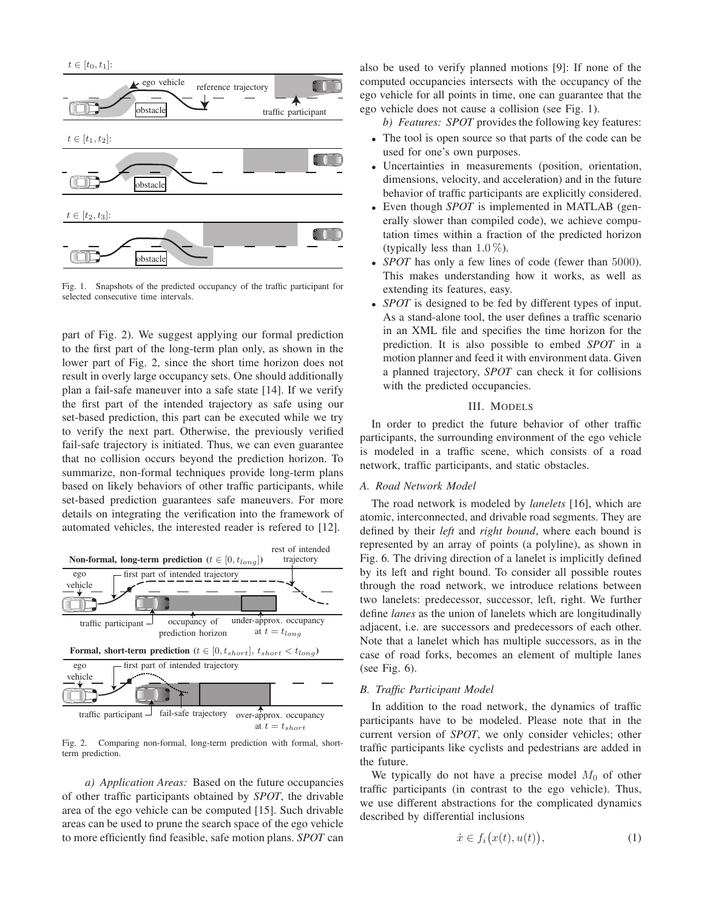$t \in [t_0, t_1]$ :



Fig. 1. Snapshots of the predicted occupancy of the traffic participant for selected consecutive time intervals.

part of Fig. 2). We suggest applying our formal prediction to the first part of the long-term plan only, as shown in the lower part of Fig. 2, since the short time horizon does not result in overly large occupancy sets. One should additionally plan a fail-safe maneuver into a safe state [14]. If we verify the first part of the intended trajectory as safe using our set-based prediction, this part can be executed while we try to verify the next part. Otherwise, the previously verified fail-safe trajectory is initiated. Thus, we can even guarantee that no collision occurs beyond the prediction horizon. To summarize, non-formal techniques provide long-term plans based on likely behaviors of other traffic participants, while set-based prediction guarantees safe maneuvers. For more details on integrating the verification into the framework of automated vehicles, the interested reader is refered to [12].



Fig. 2. Comparing non-formal, long-term prediction with formal, shortterm prediction.

a) Application Areas: Based on the future occupancies of other traffic participants obtained by SPOT, the drivable area of the ego vehicle can be computed [15]. Such drivable areas can be used to prune the search space of the ego vehicle to more efficiently find feasible, safe motion plans. SPOT can

also be used to verify planned motions [9]: If none of the computed occupancies intersects with the occupancy of the ego vehicle for all points in time, one can guarantee that the ego vehicle does not cause a collision (see Fig. 1).

b) Features: SPOT provides the following key features:

- The tool is open source so that parts of the code can be used for one's own purposes.
- Uncertainties in measurements (position, orientation, dimensions, velocity, and acceleration) and in the future behavior of traffic participants are explicitly considered.
- Even though SPOT is implemented in MATLAB (generally slower than compiled code), we achieve computation times within a fraction of the predicted horizon (typically less than  $1.0\%$ ).
- *SPOT* has only a few lines of code (fewer than 5000). This makes understanding how it works, as well as extending its features, easy.
- *SPOT* is designed to be fed by different types of input. As a stand-alone tool, the user defines a traffic scenario in an XML file and specifies the time horizon for the prediction. It is also possible to embed SPOT in a motion planner and feed it with environment data. Given a planned trajectory, SPOT can check it for collisions with the predicted occupancies.

## **III. MODELS**

In order to predict the future behavior of other traffic participants, the surrounding environment of the ego vehicle is modeled in a traffic scene, which consists of a road network, traffic participants, and static obstacles.

# A. Road Network Model

The road network is modeled by *lanelets* [16], which are atomic, interconnected, and drivable road segments. They are defined by their *left* and *right bound*, where each bound is represented by an array of points (a polyline), as shown in Fig. 6. The driving direction of a lanelet is implicitly defined by its left and right bound. To consider all possible routes through the road network, we introduce relations between two lanelets: predecessor, successor, left, right. We further define lanes as the union of lanelets which are longitudinally adjacent, i.e. are successors and predecessors of each other. Note that a lanelet which has multiple successors, as in the case of road forks, becomes an element of multiple lanes (see Fig.  $6$ ).

# **B.** Traffic Participant Model

In addition to the road network, the dynamics of traffic participants have to be modeled. Please note that in the current version of SPOT, we only consider vehicles; other traffic participants like cyclists and pedestrians are added in the future.

We typically do not have a precise model  $M_0$  of other traffic participants (in contrast to the ego vehicle). Thus, we use different abstractions for the complicated dynamics described by differential inclusions

$$
\dot{x} \in f_i(x(t), u(t)),\tag{1}
$$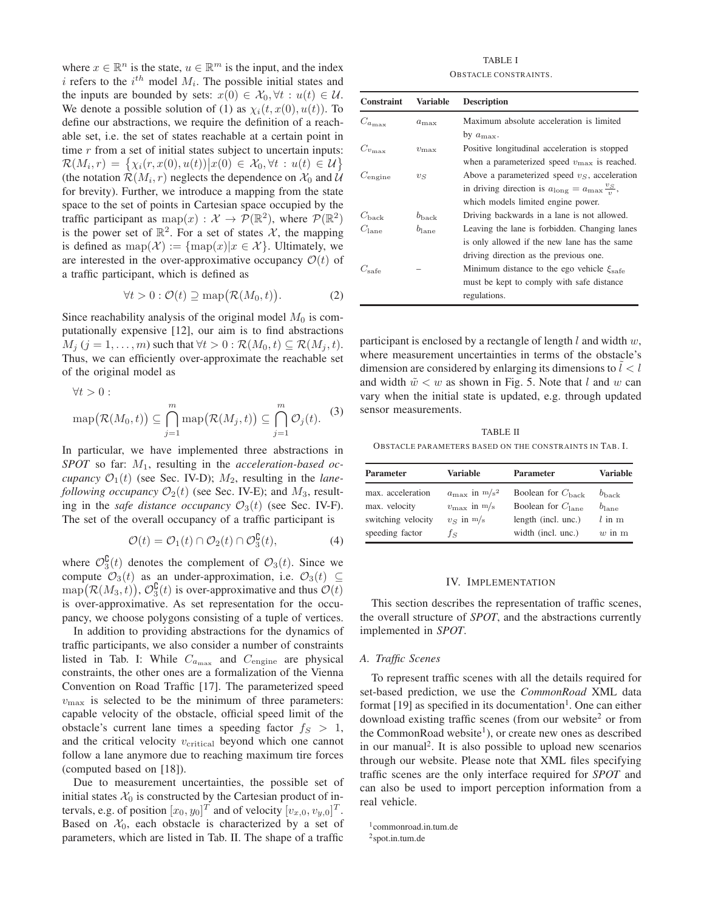where  $x \in \mathbb{R}^n$  is the state,  $u \in \mathbb{R}^m$  is the input, and the index i refers to the  $i^{th}$  model  $M_i$ . The possible initial states and the inputs are bounded by sets:  $x(0) \in \mathcal{X}_0, \forall t : u(t) \in \mathcal{U}$ . We denote a possible solution of (1) as  $\chi_i(t, x(0), u(t))$ . To define our abstractions, we require the definition of a reachable set, i.e. the set of states reachable at a certain point in time  $r$  from a set of initial states subject to uncertain inputs:  $\mathcal{R}(M_i,r) = \{ \chi_i(r,x(0),u(t)) | x(0) \in \mathcal{X}_0, \forall t : u(t) \in \mathcal{U} \}$ (the notation  $\mathcal{R}(M_i, r)$  neglects the dependence on  $\mathcal{X}_0$  and  $\mathcal{U}$ for brevity). Further, we introduce a mapping from the state space to the set of points in Cartesian space occupied by the traffic participant as map(x) :  $\mathcal{X} \to \mathcal{P}(\mathbb{R}^2)$ , where  $\mathcal{P}(\mathbb{R}^2)$ is the power set of  $\mathbb{R}^2$ . For a set of states X, the mapping is defined as  $\text{map}(\mathcal{X}) := \{\text{map}(x)|x \in \mathcal{X}\}\$ . Ultimately, we are interested in the over-approximative occupancy  $\mathcal{O}(t)$  of a traffic participant, which is defined as

$$
\forall t > 0 : \mathcal{O}(t) \supseteq \text{map}(\mathcal{R}(M_0, t)). \tag{2}
$$

Since reachability analysis of the original model  $M_0$  is computationally expensive [12], our aim is to find abstractions  $M_i$   $(j = 1, \ldots, m)$  such that  $\forall t > 0 : \mathcal{R}(M_0, t) \subseteq \mathcal{R}(M_i, t)$ . Thus, we can efficiently over-approximate the reachable set of the original model as

$$
\forall t > 0 : \text{map}(\mathcal{R}(M_0, t)) \subseteq \bigcap_{j=1}^m \text{map}(\mathcal{R}(M_j, t)) \subseteq \bigcap_{j=1}^m \mathcal{O}_j(t). \quad (3)
$$

In particular, we have implemented three abstractions in SPOT so far:  $M_1$ , resulting in the *acceleration-based occupancy*  $\mathcal{O}_1(t)$  (see Sec. IV-D);  $M_2$ , resulting in the *lane*following occupancy  $\mathcal{O}_2(t)$  (see Sec. IV-E); and  $M_3$ , resulting in the safe distance occupancy  $\mathcal{O}_3(t)$  (see Sec. IV-F). The set of the overall occupancy of a traffic participant is

$$
\mathcal{O}(t) = \mathcal{O}_1(t) \cap \mathcal{O}_2(t) \cap \mathcal{O}_3^{\complement}(t),\tag{4}
$$

where  $\mathcal{O}_3^{\complement}(t)$  denotes the complement of  $\mathcal{O}_3(t)$ . Since we compute  $\mathcal{O}_3(t)$  as an under-approximation, i.e.  $\mathcal{O}_3(t)$   $\subseteq$  $\text{map}(\mathcal{R}(M_3,t)), \mathcal{O}_3^{\mathbb{C}}(t)$  is over-approximative and thus  $\mathcal{O}(t)$ is over-approximative. As set representation for the occupancy, we choose polygons consisting of a tuple of vertices.

In addition to providing abstractions for the dynamics of traffic participants, we also consider a number of constraints listed in Tab. I: While  $C_{a_{\text{max}}}$  and  $C_{\text{engine}}$  are physical constraints, the other ones are a formalization of the Vienna Convention on Road Traffic [17]. The parameterized speed  $v_{\text{max}}$  is selected to be the minimum of three parameters: capable velocity of the obstacle, official speed limit of the obstacle's current lane times a speeding factor  $f_S > 1$ , and the critical velocity  $v_{\text{critical}}$  beyond which one cannot follow a lane anymore due to reaching maximum tire forces (computed based on [18]).

Due to measurement uncertainties, the possible set of initial states  $\mathcal{X}_0$  is constructed by the Cartesian product of intervals, e.g. of position  $[x_0, y_0]^T$  and of velocity  $[v_{x,0}, v_{y,0}]^T$ . Based on  $\mathcal{X}_0$ , each obstacle is characterized by a set of parameters, which are listed in Tab. II. The shape of a traffic

**TABLE I** OBSTACLE CONSTRAINTS.

| Constraint          | Variable          | <b>Description</b>                                                         |
|---------------------|-------------------|----------------------------------------------------------------------------|
| $C_{a_{\max}}$      | $a_{\max}$        | Maximum absolute acceleration is limited                                   |
|                     |                   | by $a_{\text{max}}$ .                                                      |
| $C_{v_{\max}}$      | $v_{\rm max}$     | Positive longitudinal acceleration is stopped                              |
|                     |                   | when a parameterized speed $v_{\text{max}}$ is reached.                    |
| $C_{\text{engine}}$ | $v_S$             | Above a parameterized speed $vS$ , acceleration                            |
|                     |                   | in driving direction is $a_{\text{long}} = a_{\text{max}} \frac{v_S}{v}$ , |
|                     |                   | which models limited engine power.                                         |
| $C_{\rm back}$      | $b_{\rm back}$    | Driving backwards in a lane is not allowed.                                |
| $C_{\text{lane}}$   | b <sub>lane</sub> | Leaving the lane is forbidden. Changing lanes                              |
|                     |                   | is only allowed if the new lane has the same                               |
|                     |                   | driving direction as the previous one.                                     |
| $C_{\text{safe}}$   |                   | Minimum distance to the ego vehicle $\xi_{\text{safe}}$                    |
|                     |                   | must be kept to comply with safe distance                                  |
|                     |                   | regulations.                                                               |

participant is enclosed by a rectangle of length  $l$  and width  $w$ , where measurement uncertainties in terms of the obstacle's dimension are considered by enlarging its dimensions to  $l < l$ and width  $\tilde{w} < w$  as shown in Fig. 5. Note that l and w can vary when the initial state is updated, e.g. through updated sensor measurements.

**TABLE II** OBSTACLE PARAMETERS BASED ON THE CONSTRAINTS IN TAB. I.

| <b>Parameter</b>   | Variable                           | <b>Parameter</b>              | Variable          |
|--------------------|------------------------------------|-------------------------------|-------------------|
| max. acceleration  | $a_{\text{max}}$ in $\text{m/s}^2$ | Boolean for $C_{\text{back}}$ | $b_{\rm back}$    |
| max. velocity      | $v_{\text{max}}$ in $\text{m/s}$   | Boolean for $C_{\text{lane}}$ | $b_{\text{lane}}$ |
| switching velocity | $v_s$ in m/s                       | length (incl. unc.)           | $l$ in $m$        |
| speeding factor    | Ťς                                 | width (incl. unc.)            | $w$ in $m$        |

#### IV. IMPLEMENTATION

This section describes the representation of traffic scenes, the overall structure of SPOT, and the abstractions currently implemented in SPOT.

## A. Traffic Scenes

To represent traffic scenes with all the details required for set-based prediction, we use the CommonRoad XML data format [19] as specified in its documentation<sup>1</sup>. One can either download existing traffic scenes (from our website<sup>2</sup> or from the CommonRoad website<sup>1</sup>), or create new ones as described in our manual<sup>2</sup>. It is also possible to upload new scenarios through our website. Please note that XML files specifying traffic scenes are the only interface required for SPOT and can also be used to import perception information from a real vehicle.

 $1$ commonroad.in.tum.de

 $2$ spot.in.tum.de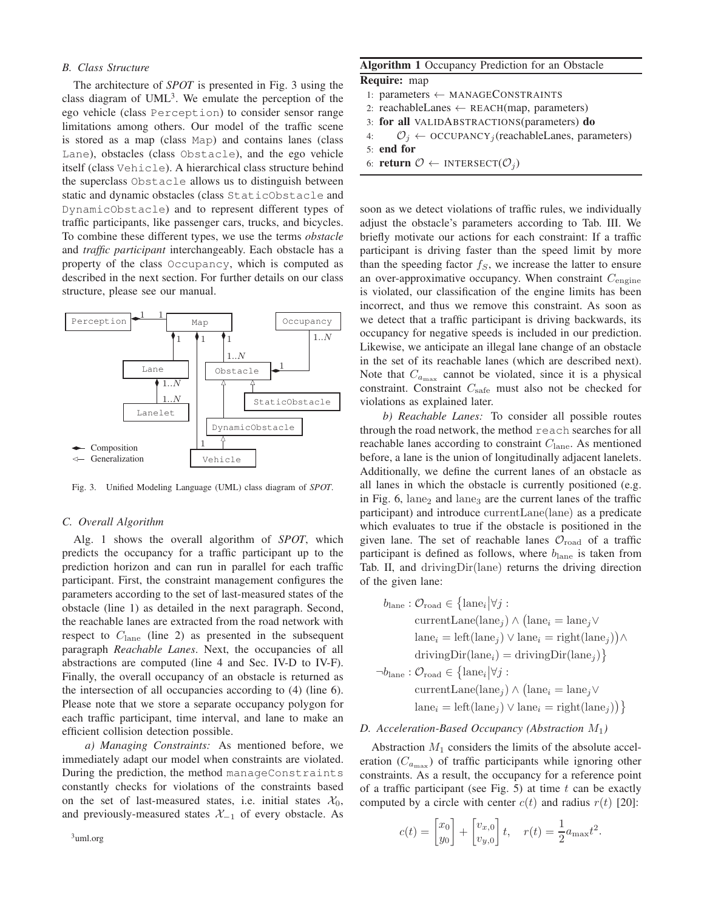# **B.** Class Structure

The architecture of *SPOT* is presented in Fig. 3 using the class diagram of  $UML<sup>3</sup>$ . We emulate the perception of the ego vehicle (class Perception) to consider sensor range limitations among others. Our model of the traffic scene is stored as a map (class Map) and contains lanes (class Lane), obstacles (class Obstacle), and the ego vehicle itself (class Vehicle). A hierarchical class structure behind the superclass Obstacle allows us to distinguish between static and dynamic obstacles (class StaticObstacle and DynamicObstacle) and to represent different types of traffic participants, like passenger cars, trucks, and bicycles. To combine these different types, we use the terms *obstacle* and *traffic participant* interchangeably. Each obstacle has a property of the class Occupancy, which is computed as described in the next section. For further details on our class structure, please see our manual.



Fig. 3. Unified Modeling Language (UML) class diagram of SPOT.

#### C. Overall Algorithm

Alg. 1 shows the overall algorithm of SPOT, which predicts the occupancy for a traffic participant up to the prediction horizon and can run in parallel for each traffic participant. First, the constraint management configures the parameters according to the set of last-measured states of the obstacle (line 1) as detailed in the next paragraph. Second, the reachable lanes are extracted from the road network with respect to  $C<sub>lane</sub>$  (line 2) as presented in the subsequent paragraph *Reachable Lanes*. Next, the occupancies of all abstractions are computed (line 4 and Sec. IV-D to IV-F). Finally, the overall occupancy of an obstacle is returned as the intersection of all occupancies according to (4) (line 6). Please note that we store a separate occupancy polygon for each traffic participant, time interval, and lane to make an efficient collision detection possible.

a) Managing Constraints: As mentioned before, we immediately adapt our model when constraints are violated. During the prediction, the method manageConstraints constantly checks for violations of the constraints based on the set of last-measured states, i.e. initial states  $\mathcal{X}_0$ , and previously-measured states  $\mathcal{X}_{-1}$  of every obstacle. As

 $3$ uml.org

## **Algorithm 1** Occupancy Prediction for an Obstacle

| <b>Require:</b> map |  |  |  |
|---------------------|--|--|--|
|---------------------|--|--|--|

- 1: parameters  $\leftarrow$  MANAGECONSTRAINTS
- 2: reachableLanes  $\leftarrow$  REACH(map, parameters)
- 3: for all VALIDABSTRACTIONS(parameters) do
- $\mathcal{O}_i \leftarrow$  OCCUPANCY<sub>i</sub> (reachableLanes, parameters)  $4:$
- 5: end for
- 6: **return**  $\mathcal{O} \leftarrow \text{INTERSECTION}(\mathcal{O}_j)$

soon as we detect violations of traffic rules, we individually adjust the obstacle's parameters according to Tab. III. We briefly motivate our actions for each constraint: If a traffic participant is driving faster than the speed limit by more than the speeding factor  $f_s$ , we increase the latter to ensure an over-approximative occupancy. When constraint  $C_{\text{engine}}$ is violated, our classification of the engine limits has been incorrect, and thus we remove this constraint. As soon as we detect that a traffic participant is driving backwards, its occupancy for negative speeds is included in our prediction. Likewise, we anticipate an illegal lane change of an obstacle in the set of its reachable lanes (which are described next). Note that  $C_{a_{\text{max}}}$  cannot be violated, since it is a physical constraint. Constraint  $C_{\text{safe}}$  must also not be checked for violations as explained later.

b) Reachable Lanes: To consider all possible routes through the road network, the method reach searches for all reachable lanes according to constraint  $C<sub>lane</sub>$ . As mentioned before, a lane is the union of longitudinally adjacent lanelets. Additionally, we define the current lanes of an obstacle as all lanes in which the obstacle is currently positioned (e.g. in Fig. 6, lane<sub>2</sub> and lane<sub>3</sub> are the current lanes of the traffic participant) and introduce currentLane(lane) as a predicate which evaluates to true if the obstacle is positioned in the given lane. The set of reachable lanes  $\mathcal{O}_{\text{road}}$  of a traffic participant is defined as follows, where  $b<sub>lane</sub>$  is taken from Tab. II, and driving Dir(lane) returns the driving direction of the given lane:

$$
b_{\text{lane}} : \mathcal{O}_{\text{road}} \in \{\text{lane}_i | \forall j : \}
$$
  
\ncurrentLane(lane<sub>j</sub>)  $\land$  (lane<sub>i</sub> = lane<sub>j</sub>  $\lor$   
\nlane<sub>i</sub> = left(lane<sub>j</sub>)  $\lor$  lane<sub>i</sub> = right(lane<sub>j</sub>))  $\land$   
\ndrivingDir(lane<sub>i</sub>) = drivingDir(lane<sub>j</sub>)  
\n $\neg b_{\text{lane}} : \mathcal{O}_{\text{road}} \in \{\text{lane}_i | \forall j : \}$   
\ncurrentLane(lane<sub>j</sub>)  $\land$  (lane<sub>i</sub> = lane<sub>j</sub>  $\lor$   
\nlane<sub>i</sub> = left(lane<sub>j</sub>)  $\lor$  lane<sub>i</sub> = right(lane<sub>j</sub>)) $\}$ 

## D. Acceleration-Based Occupancy (Abstraction  $M_1$ )

Abstraction  $M_1$  considers the limits of the absolute acceleration  $(C_{a_{\text{max}}})$  of traffic participants while ignoring other constraints. As a result, the occupancy for a reference point of a traffic participant (see Fig. 5) at time  $t$  can be exactly computed by a circle with center  $c(t)$  and radius  $r(t)$  [20]:

$$
c(t) = \begin{bmatrix} x_0 \\ y_0 \end{bmatrix} + \begin{bmatrix} v_{x,0} \\ v_{y,0} \end{bmatrix} t, \quad r(t) = \frac{1}{2} a_{\text{max}} t^2.
$$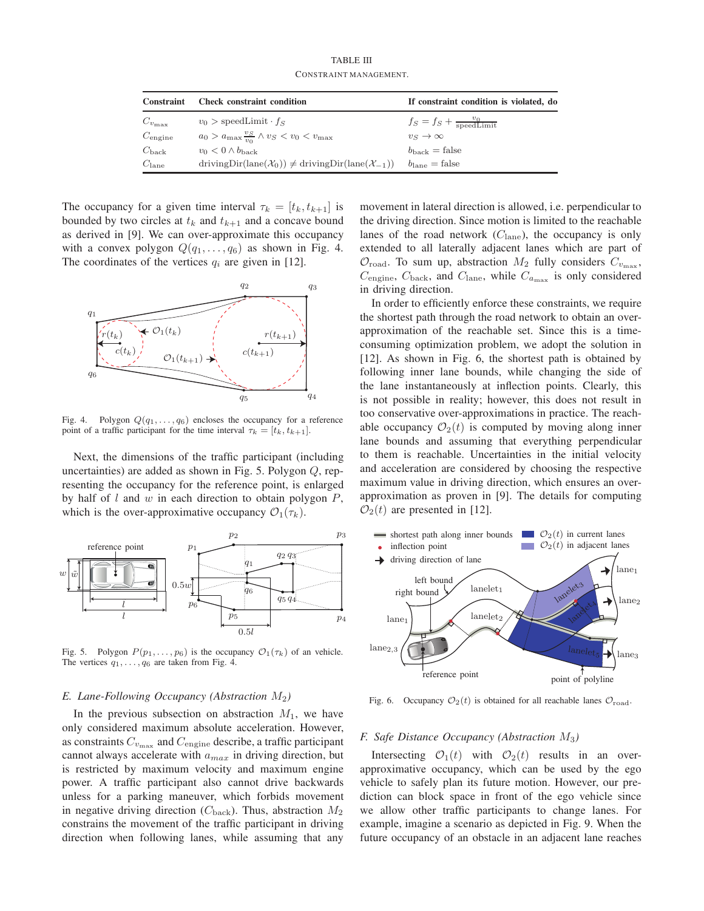**TABLE III** CONSTRAINT MANAGEMENT.

| <b>Constraint</b>   | <b>Check constraint condition</b>                                         | If constraint condition is violated, do     |
|---------------------|---------------------------------------------------------------------------|---------------------------------------------|
| $C_{v_{\max}}$      | $v_0$ > speedLimit $f_s$                                                  | $f_S = f_S + \frac{v_0}{\text{speedLimit}}$ |
| $C_{\text{engine}}$ | $a_0 > a_{\text{max}} \frac{v_S}{v_0} \wedge v_S < v_0 < v_{\text{max}}$  | $v_S \rightarrow \infty$                    |
| $C_{\rm back}$      | $v_0 < 0 \wedge b_{\text{back}}$                                          | $b_{\text{back}} = \text{false}$            |
| C <sub>lane</sub>   | $drivingDir(lane(\mathcal{X}_0)) \neq drivingDir(lane(\mathcal{X}_{-1}))$ | $b_{\text{lane}} = \text{false}$            |

The occupancy for a given time interval  $\tau_k = [t_k, t_{k+1}]$  is bounded by two circles at  $t_k$  and  $t_{k+1}$  and a concave bound as derived in [9]. We can over-approximate this occupancy with a convex polygon  $Q(q_1, \ldots, q_6)$  as shown in Fig. 4. The coordinates of the vertices  $q_i$  are given in [12].



Fig. 4. Polygon  $Q(q_1, \ldots, q_6)$  encloses the occupancy for a reference point of a traffic participant for the time interval  $\tau_k = [t_k, t_{k+1}].$ 

Next, the dimensions of the traffic participant (including uncertainties) are added as shown in Fig. 5. Polygon  $Q$ , representing the occupancy for the reference point, is enlarged by half of  $l$  and  $w$  in each direction to obtain polygon  $P$ , which is the over-approximative occupancy  $\mathcal{O}_1(\tau_k)$ .



Fig. 5. Polygon  $P(p_1, \ldots, p_6)$  is the occupancy  $\mathcal{O}_1(\tau_k)$  of an vehicle. The vertices  $q_1, \ldots, q_6$  are taken from Fig. 4.

## E. Lane-Following Occupancy (Abstraction  $M_2$ )

In the previous subsection on abstraction  $M_1$ , we have only considered maximum absolute acceleration. However, as constraints  $C_{v_{\text{max}}}$  and  $C_{\text{engine}}$  describe, a traffic participant cannot always accelerate with  $a_{max}$  in driving direction, but is restricted by maximum velocity and maximum engine power. A traffic participant also cannot drive backwards unless for a parking maneuver, which forbids movement in negative driving direction ( $C_{\text{back}}$ ). Thus, abstraction  $M_2$ constrains the movement of the traffic participant in driving direction when following lanes, while assuming that any

movement in lateral direction is allowed, i.e. perpendicular to the driving direction. Since motion is limited to the reachable lanes of the road network  $(C<sub>lane</sub>)$ , the occupancy is only extended to all laterally adjacent lanes which are part of  $\mathcal{O}_{\text{road}}$ . To sum up, abstraction  $M_2$  fully considers  $C_{v_{\text{max}}}$ ,  $C_{\text{engine}}$ ,  $C_{\text{back}}$ , and  $C_{\text{lane}}$ , while  $C_{a_{\text{max}}}$  is only considered in driving direction.

In order to efficiently enforce these constraints, we require the shortest path through the road network to obtain an overapproximation of the reachable set. Since this is a timeconsuming optimization problem, we adopt the solution in [12]. As shown in Fig. 6, the shortest path is obtained by following inner lane bounds, while changing the side of the lane instantaneously at inflection points. Clearly, this is not possible in reality; however, this does not result in too conservative over-approximations in practice. The reachable occupancy  $\mathcal{O}_2(t)$  is computed by moving along inner lane bounds and assuming that everything perpendicular to them is reachable. Uncertainties in the initial velocity and acceleration are considered by choosing the respective maximum value in driving direction, which ensures an overapproximation as proven in [9]. The details for computing  $\mathcal{O}_2(t)$  are presented in [12].



Fig. 6. Occupancy  $\mathcal{O}_2(t)$  is obtained for all reachable lanes  $\mathcal{O}_{\text{road}}$ .

## F. Safe Distance Occupancy (Abstraction  $M_3$ )

Intersecting  $\mathcal{O}_1(t)$  with  $\mathcal{O}_2(t)$  results in an overapproximative occupancy, which can be used by the ego vehicle to safely plan its future motion. However, our prediction can block space in front of the ego vehicle since we allow other traffic participants to change lanes. For example, imagine a scenario as depicted in Fig. 9. When the future occupancy of an obstacle in an adjacent lane reaches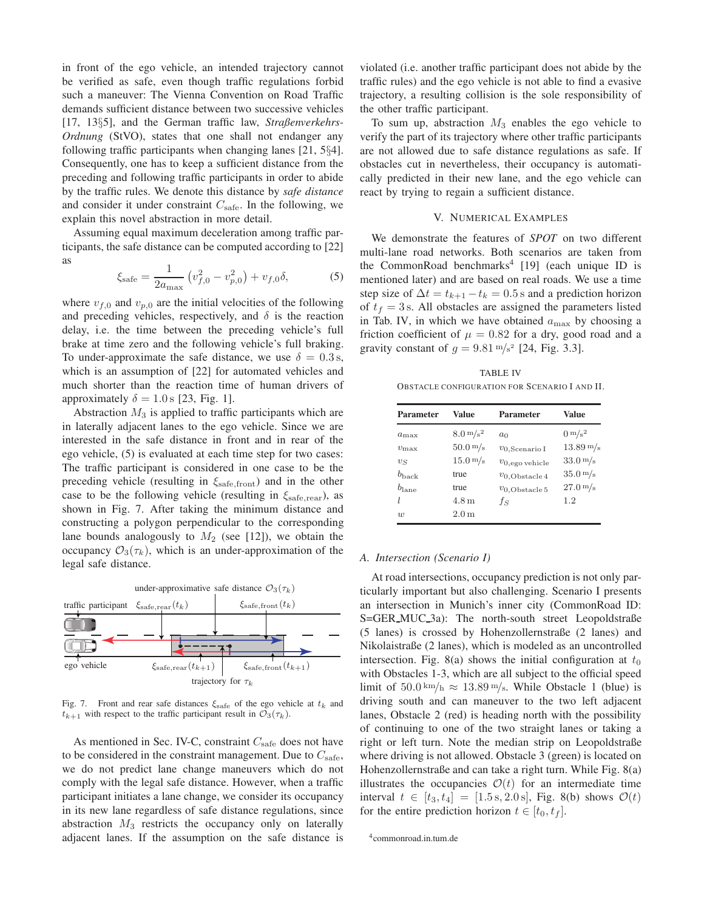in front of the ego vehicle, an intended trajectory cannot be verified as safe, even though traffic regulations forbid such a maneuver: The Vienna Convention on Road Traffic demands sufficient distance between two successive vehicles [17, 13§5], and the German traffic law, Straßenverkehrs-*Ordnung* (StVO), states that one shall not endanger any following traffic participants when changing lanes  $[21, 5\S4]$ . Consequently, one has to keep a sufficient distance from the preceding and following traffic participants in order to abide by the traffic rules. We denote this distance by safe distance and consider it under constraint  $C_{\text{safe}}$ . In the following, we explain this novel abstraction in more detail.

Assuming equal maximum deceleration among traffic participants, the safe distance can be computed according to [22] as

$$
\xi_{\text{safe}} = \frac{1}{2a_{\text{max}}} \left( v_{f,0}^2 - v_{p,0}^2 \right) + v_{f,0} \delta,\tag{5}
$$

where  $v_{f,0}$  and  $v_{p,0}$  are the initial velocities of the following and preceding vehicles, respectively, and  $\delta$  is the reaction delay, *i.e.* the time between the preceding vehicle's full brake at time zero and the following vehicle's full braking. To under-approximate the safe distance, we use  $\delta = 0.3$  s, which is an assumption of [22] for automated vehicles and much shorter than the reaction time of human drivers of approximately  $\delta = 1.0$  s [23, Fig. 1].

Abstraction  $M_3$  is applied to traffic participants which are in laterally adjacent lanes to the ego vehicle. Since we are interested in the safe distance in front and in rear of the ego vehicle, (5) is evaluated at each time step for two cases: The traffic participant is considered in one case to be the preceding vehicle (resulting in  $\xi_{\text{safe front}}$ ) and in the other case to be the following vehicle (resulting in  $\xi_{\text{safe, rear}}$ ), as shown in Fig. 7. After taking the minimum distance and constructing a polygon perpendicular to the corresponding lane bounds analogously to  $M_2$  (see [12]), we obtain the occupancy  $\mathcal{O}_3(\tau_k)$ , which is an under-approximation of the legal safe distance.



Fig. 7. Front and rear safe distances  $\xi_{\text{safe}}$  of the ego vehicle at  $t_k$  and  $t_{k+1}$  with respect to the traffic participant result in  $\mathcal{O}_3(\tau_k)$ .

As mentioned in Sec. IV-C, constraint  $C_{\text{safe}}$  does not have to be considered in the constraint management. Due to  $C_{\text{safe}}$ , we do not predict lane change maneuvers which do not comply with the legal safe distance. However, when a traffic participant initiates a lane change, we consider its occupancy in its new lane regardless of safe distance regulations, since abstraction  $M_3$  restricts the occupancy only on laterally adjacent lanes. If the assumption on the safe distance is violated (i.e. another traffic participant does not abide by the traffic rules) and the ego vehicle is not able to find a evasive trajectory, a resulting collision is the sole responsibility of the other traffic participant.

To sum up, abstraction  $M_3$  enables the ego vehicle to verify the part of its trajectory where other traffic participants are not allowed due to safe distance regulations as safe. If obstacles cut in nevertheless, their occupancy is automatically predicted in their new lane, and the ego vehicle can react by trying to regain a sufficient distance.

## V. NUMERICAL EXAMPLES

We demonstrate the features of SPOT on two different multi-lane road networks. Both scenarios are taken from the CommonRoad benchmarks<sup>4</sup> [19] (each unique ID is mentioned later) and are based on real roads. We use a time step size of  $\Delta t = t_{k+1} - t_k = 0.5$  s and a prediction horizon of  $t_f = 3$  s. All obstacles are assigned the parameters listed in Tab. IV, in which we have obtained  $a_{\text{max}}$  by choosing a friction coefficient of  $\mu = 0.82$  for a dry, good road and a gravity constant of  $g = 9.81 \text{ m/s}^2$  [24, Fig. 3.3].

**TABLE IV** OBSTACLE CONFIGURATION FOR SCENARIO I AND II.

| <b>Parameter</b>  | Value                  | <b>Parameter</b>           | Value                  |
|-------------------|------------------------|----------------------------|------------------------|
| $a_{\max}$        | $8.0 \,\mathrm{m/s^2}$ | a <sub>0</sub>             | $0 \text{ m/s}^2$      |
| $v_{\rm max}$     | $50.0 \,\mathrm{m/s}$  | $v_{0, \text{Scenario I}}$ | $13.89 \,\mathrm{m/s}$ |
| $v_S$             | $15.0 \,\mathrm{m/s}$  | $v_{0,\text{ego vehicle}}$ | $33.0 \,\mathrm{m/s}$  |
| $b_{\rm back}$    | true                   | $v_{0, \text{Obstacle 4}}$ | $35.0 \,\mathrm{m/s}$  |
| b <sub>lane</sub> | true                   | $v_{0, \text{Obstacle 5}}$ | $27.0 \,\mathrm{m/s}$  |
|                   | 4.8 <sub>m</sub>       | $f_S$                      | 1.2                    |
| w                 | 2.0 <sub>m</sub>       |                            |                        |

## A. Intersection (Scenario I)

At road intersections, occupancy prediction is not only particularly important but also challenging. Scenario I presents an intersection in Munich's inner city (CommonRoad ID: S=GER\_MUC\_3a): The north-south street Leopoldstraße (5 lanes) is crossed by Hohenzollernstraße (2 lanes) and Nikolaistraße (2 lanes), which is modeled as an uncontrolled intersection. Fig. 8(a) shows the initial configuration at  $t_0$ with Obstacles 1-3, which are all subject to the official speed limit of 50.0 km/h  $\approx 13.89$  m/s. While Obstacle 1 (blue) is driving south and can maneuver to the two left adjacent lanes, Obstacle 2 (red) is heading north with the possibility of continuing to one of the two straight lanes or taking a right or left turn. Note the median strip on Leopoldstraße where driving is not allowed. Obstacle 3 (green) is located on Hohenzollernstraße and can take a right turn. While Fig. 8(a) illustrates the occupancies  $\mathcal{O}(t)$  for an intermediate time interval  $t \in [t_3, t_4] = [1.5 \text{ s}, 2.0 \text{ s}]$ , Fig. 8(b) shows  $\mathcal{O}(t)$ for the entire prediction horizon  $t \in [t_0, t_f]$ .

<sup>&</sup>lt;sup>4</sup>commonroad.in.tum.de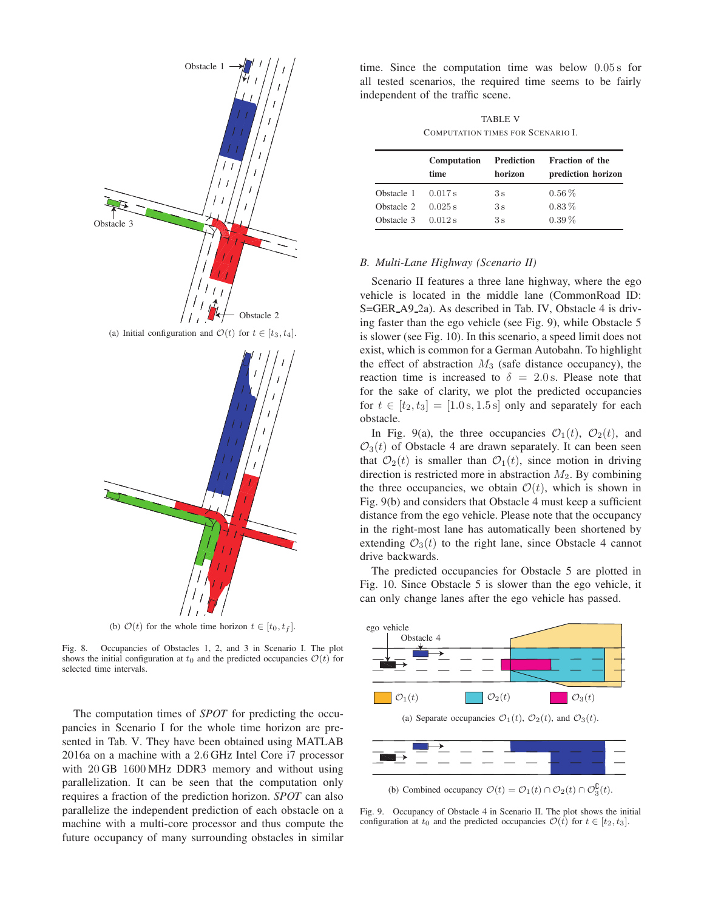

(b)  $\mathcal{O}(t)$  for the whole time horizon  $t \in [t_0, t_f]$ .

Occupancies of Obstacles 1, 2, and 3 in Scenario I. The plot  $Fig. 8.$ shows the initial configuration at  $t_0$  and the predicted occupancies  $\mathcal{O}(t)$  for selected time intervals.

The computation times of SPOT for predicting the occupancies in Scenario I for the whole time horizon are presented in Tab. V. They have been obtained using MATLAB 2016a on a machine with a 2.6 GHz Intel Core i7 processor with 20 GB 1600 MHz DDR3 memory and without using parallelization. It can be seen that the computation only requires a fraction of the prediction horizon. SPOT can also parallelize the independent prediction of each obstacle on a machine with a multi-core processor and thus compute the future occupancy of many surrounding obstacles in similar

time. Since the computation time was below  $0.05 s$  for all tested scenarios, the required time seems to be fairly independent of the traffic scene.

**TABLE V** COMPUTATION TIMES FOR SCENARIO I.

|            | <b>Computation</b><br>time | Prediction<br>horizon | <b>Fraction of the</b><br>prediction horizon |
|------------|----------------------------|-----------------------|----------------------------------------------|
| Obstacle 1 | 0.017 s                    | 3s                    | $0.56\%$                                     |
| Obstacle 2 | 0.025 s                    | 3s                    | $0.83\%$                                     |
| Obstacle 3 | 0.012 s                    | 3s                    | $0.39\%$                                     |

#### B. Multi-Lane Highway (Scenario II)

Scenario II features a three lane highway, where the ego vehicle is located in the middle lane (CommonRoad ID: S=GER\_A9\_2a). As described in Tab. IV, Obstacle 4 is driving faster than the ego vehicle (see Fig. 9), while Obstacle 5 is slower (see Fig. 10). In this scenario, a speed limit does not exist, which is common for a German Autobahn. To highlight the effect of abstraction  $M_3$  (safe distance occupancy), the reaction time is increased to  $\delta = 2.0$  s. Please note that for the sake of clarity, we plot the predicted occupancies for  $t \in [t_2, t_3] = [1.0 \text{ s}, 1.5 \text{ s}]$  only and separately for each obstacle.

In Fig. 9(a), the three occupancies  $\mathcal{O}_1(t)$ ,  $\mathcal{O}_2(t)$ , and  $\mathcal{O}_3(t)$  of Obstacle 4 are drawn separately. It can been seen that  $\mathcal{O}_2(t)$  is smaller than  $\mathcal{O}_1(t)$ , since motion in driving direction is restricted more in abstraction  $M_2$ . By combining the three occupancies, we obtain  $\mathcal{O}(t)$ , which is shown in Fig. 9(b) and considers that Obstacle 4 must keep a sufficient distance from the ego vehicle. Please note that the occupancy in the right-most lane has automatically been shortened by extending  $\mathcal{O}_3(t)$  to the right lane, since Obstacle 4 cannot drive backwards.

The predicted occupancies for Obstacle 5 are plotted in Fig. 10. Since Obstacle 5 is slower than the ego vehicle, it can only change lanes after the ego vehicle has passed.



Fig. 9. Occupancy of Obstacle 4 in Scenario II. The plot shows the initial configuration at  $t_0$  and the predicted occupancies  $\mathcal{O}(t)$  for  $t \in [t_2, t_3]$ .